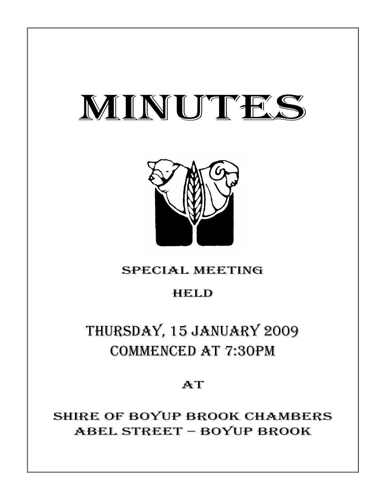# MINUTES



# SPECIAL MEETING

# HELD

# THURSDAY, 15 JANUARY 2009 COMMENCED AT 7:30PM

# AT

SHIRE OF BOYUP BROOK CHAMBERS ABEL STREET – BOYUP BROOK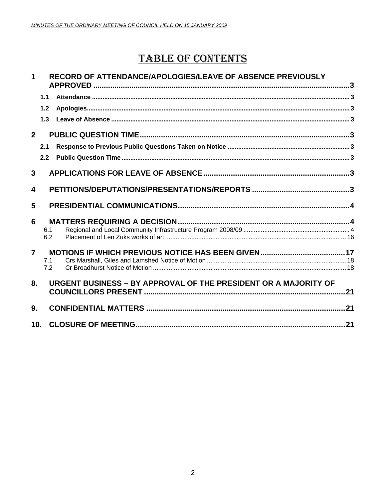# **TABLE OF CONTENTS**

#### $\mathbf{1}$ RECORD OF ATTENDANCE/APOLOGIES/LEAVE OF ABSENCE PREVIOUSLY

|                 | 1.1        |                                                                 |  |
|-----------------|------------|-----------------------------------------------------------------|--|
|                 | 1.2        |                                                                 |  |
|                 | 1.3        |                                                                 |  |
| $\overline{2}$  |            |                                                                 |  |
|                 | 2.1        |                                                                 |  |
|                 | 2.2        |                                                                 |  |
| 3               |            |                                                                 |  |
| 4               |            |                                                                 |  |
| 5               |            |                                                                 |  |
| 6               |            |                                                                 |  |
|                 | 6.1<br>6.2 |                                                                 |  |
| $\overline{7}$  | 7.1<br>7.2 |                                                                 |  |
| 8.              |            | URGENT BUSINESS - BY APPROVAL OF THE PRESIDENT OR A MAJORITY OF |  |
| 9.              |            |                                                                 |  |
| 10 <sub>1</sub> |            |                                                                 |  |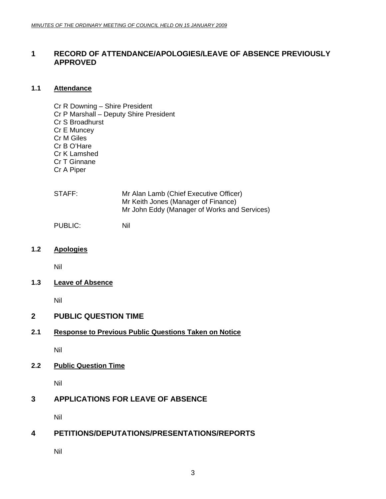#### **1 RECORD OF ATTENDANCE/APOLOGIES/LEAVE OF ABSENCE PREVIOUSLY APPROVED**

#### **1.1 Attendance**

Cr R Downing – Shire President Cr P Marshall – Deputy Shire President Cr S Broadhurst Cr E Muncey Cr M Giles Cr B O'Hare Cr K Lamshed Cr T Ginnane Cr A Piper

| Mr Alan Lamb (Chief Executive Officer)       |
|----------------------------------------------|
| Mr Keith Jones (Manager of Finance)          |
| Mr John Eddy (Manager of Works and Services) |
|                                              |

PUBLIC: Nil

**1.2 Apologies** 

Nil

**1.3 Leave of Absence**

Nil

## **2 PUBLIC QUESTION TIME**

#### **2.1 Response to Previous Public Questions Taken on Notice**

Nil

#### **2.2 Public Question Time**

Nil

### **3 APPLICATIONS FOR LEAVE OF ABSENCE**

Nil

#### **4 PETITIONS/DEPUTATIONS/PRESENTATIONS/REPORTS**

Nil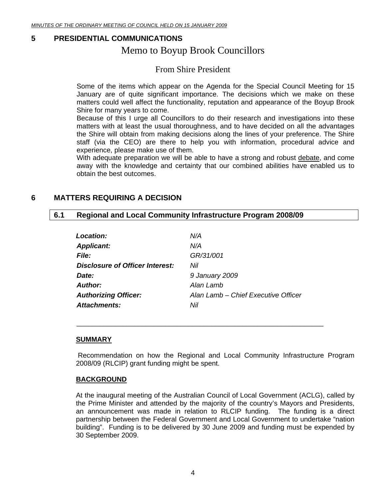#### **5 PRESIDENTIAL COMMUNICATIONS**

## Memo to Boyup Brook Councillors

## From Shire President

Some of the items which appear on the Agenda for the Special Council Meeting for 15 January are of quite significant importance. The decisions which we make on these matters could well affect the functionality, reputation and appearance of the Boyup Brook Shire for many years to come.

Because of this I urge all Councillors to do their research and investigations into these matters with at least the usual thoroughness, and to have decided on all the advantages the Shire will obtain from making decisions along the lines of your preference. The Shire staff (via the CEO) are there to help you with information, procedural advice and experience, please make use of them.

With adequate preparation we will be able to have a strong and robust debate, and come away with the knowledge and certainty that our combined abilities have enabled us to obtain the best outcomes.

#### **6 MATTERS REQUIRING A DECISION**

#### **6.1 Regional and Local Community Infrastructure Program 2008/09**

\_\_\_\_\_\_\_\_\_\_\_\_\_\_\_\_\_\_\_\_\_\_\_\_\_\_\_\_\_\_\_\_\_\_\_\_\_\_\_\_\_\_\_\_\_\_\_\_\_\_\_\_\_\_\_\_\_\_\_\_\_\_\_\_

| Location:                       | N/A                                 |
|---------------------------------|-------------------------------------|
| <b>Applicant:</b>               | N/A                                 |
| <i>File:</i>                    | GR/31/001                           |
| Disclosure of Officer Interest: | Nil                                 |
| Date:                           | 9 January 2009                      |
| Author:                         | Alan Lamb                           |
| <b>Authorizing Officer:</b>     | Alan Lamb - Chief Executive Officer |
| Attachments:                    | Nil                                 |

#### **SUMMARY**

 Recommendation on how the Regional and Local Community Infrastructure Program 2008/09 (RLCIP) grant funding might be spent.

#### **BACKGROUND**

At the inaugural meeting of the Australian Council of Local Government (ACLG), called by the Prime Minister and attended by the majority of the country's Mayors and Presidents, an announcement was made in relation to RLCIP funding. The funding is a direct partnership between the Federal Government and Local Government to undertake "nation building". Funding is to be delivered by 30 June 2009 and funding must be expended by 30 September 2009.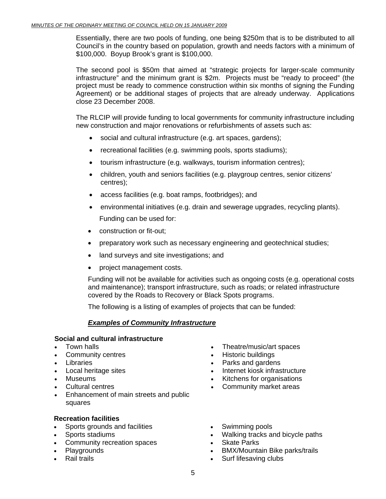Essentially, there are two pools of funding, one being \$250m that is to be distributed to all Council's in the country based on population, growth and needs factors with a minimum of \$100,000. Boyup Brook's grant is \$100,000.

The second pool is \$50m that aimed at "strategic projects for larger-scale community infrastructure" and the minimum grant is \$2m. Projects must be "ready to proceed" (the project must be ready to commence construction within six months of signing the Funding Agreement) or be additional stages of projects that are already underway. Applications close 23 December 2008.

The RLCIP will provide funding to local governments for community infrastructure including new construction and major renovations or refurbishments of assets such as:

- social and cultural infrastructure (e.g. art spaces, gardens);
- recreational facilities (e.g. swimming pools, sports stadiums);
- tourism infrastructure (e.g. walkways, tourism information centres);
- children, youth and seniors facilities (e.g. playgroup centres, senior citizens' centres);
- access facilities (e.g. boat ramps, footbridges); and
- environmental initiatives (e.g. drain and sewerage upgrades, recycling plants). Funding can be used for:
- construction or fit-out;
- preparatory work such as necessary engineering and geotechnical studies;
- land surveys and site investigations; and
- project management costs.

Funding will not be available for activities such as ongoing costs (e.g. operational costs and maintenance); transport infrastructure, such as roads; or related infrastructure covered by the Roads to Recovery or Black Spots programs.

The following is a listing of examples of projects that can be funded:

#### *Examples of Community Infrastructure*

#### **Social and cultural infrastructure**

- 
- 
- 
- 
- 
- 
- Enhancement of main streets and public squares

#### **Recreation facilities**

- Sports grounds and facilities Swimming pools
- 
- Community recreation spaces **•** Skate Parks<br>Playgrounds BMX/Mounta
- 
- 
- Town halls Theatre/music/art spaces
- Community centres Historic buildings
- Libraries Parks and gardens
- Local heritage sites Internet kiosk infrastructure
- Museums Kitchens for organisations
- Cultural centres Community market areas
	-
- Sports stadiums Walking tracks and bicycle paths
	-
- Playgrounds BMX/Mountain Bike parks/trails
	- Surf lifesaving clubs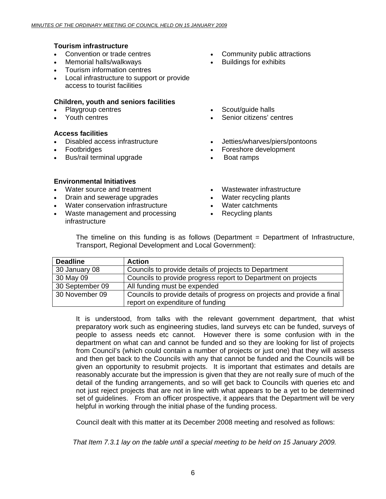#### **Tourism infrastructure**

- 
- Memorial halls/walkways Buildings for exhibits
- Tourism information centres
- Local infrastructure to support or provide access to tourist facilities

#### **Children, youth and seniors facilities**

- 
- 

#### **Access facilities**

- 
- Footbridges
- Bus/rail terminal upgrade
- Convention or trade centres Community public attractions
	-
- Playgroup centres **•** Scout/guide halls
- Youth centres Senior citizens' centres
- Disabled access infrastructure Jetties/wharves/piers/pontoons
	- Foreshore development
	- Boat ramps

#### **Environmental Initiatives**

- 
- Drain and sewerage upgrades Water recycling plants
- Water conservation infrastructure Water catchments
- Waste management and processing infrastructure
- Water source and treatment **•** Wastewater infrastructure
	-
	-
	- Recycling plants

|                                                        |  |  |  | The timeline on this funding is as follows (Department $=$ Department of Infrastructure, |
|--------------------------------------------------------|--|--|--|------------------------------------------------------------------------------------------|
| Transport, Regional Development and Local Government): |  |  |  |                                                                                          |

| <b>Action</b>                                                                                               |  |  |
|-------------------------------------------------------------------------------------------------------------|--|--|
| Councils to provide details of projects to Department                                                       |  |  |
| Councils to provide progress report to Department on projects                                               |  |  |
| All funding must be expended                                                                                |  |  |
| Councils to provide details of progress on projects and provide a final<br>report on expenditure of funding |  |  |
|                                                                                                             |  |  |

It is understood, from talks with the relevant government department, that whist preparatory work such as engineering studies, land surveys etc can be funded, surveys of people to assess needs etc cannot. However there is some confusion with in the department on what can and cannot be funded and so they are looking for list of projects from Council's (which could contain a number of projects or just one) that they will assess and then get back to the Councils with any that cannot be funded and the Councils will be given an opportunity to resubmit projects. It is important that estimates and details are reasonably accurate but the impression is given that they are not really sure of much of the detail of the funding arrangements, and so will get back to Councils with queries etc and not just reject projects that are not in line with what appears to be a yet to be determined set of guidelines. From an officer prospective, it appears that the Department will be very helpful in working through the initial phase of the funding process.

Council dealt with this matter at its December 2008 meeting and resolved as follows:

*That Item 7.3.1 lay on the table until a special meeting to be held on 15 January 2009.*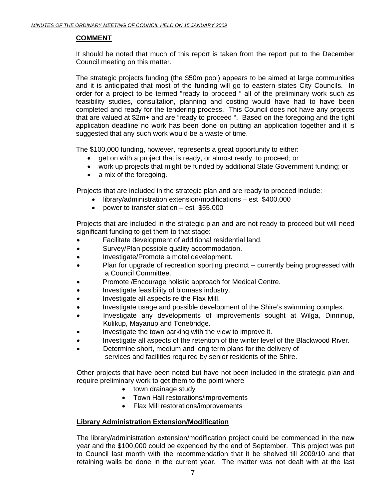#### **COMMENT**

It should be noted that much of this report is taken from the report put to the December Council meeting on this matter.

The strategic projects funding (the \$50m pool) appears to be aimed at large communities and it is anticipated that most of the funding will go to eastern states City Councils. In order for a project to be termed "ready to proceed " all of the preliminary work such as feasibility studies, consultation, planning and costing would have had to have been completed and ready for the tendering process. This Council does not have any projects that are valued at \$2m+ and are "ready to proceed ". Based on the foregoing and the tight application deadline no work has been done on putting an application together and it is suggested that any such work would be a waste of time.

The \$100,000 funding, however, represents a great opportunity to either:

- get on with a project that is ready, or almost ready, to proceed; or
- work up projects that might be funded by additional State Government funding; or
- a mix of the foregoing.

Projects that are included in the strategic plan and are ready to proceed include:

- library/administration extension/modifications est \$400,000
- power to transfer station est \$55,000

Projects that are included in the strategic plan and are not ready to proceed but will need significant funding to get them to that stage:

- Facilitate development of additional residential land.
- Survey/Plan possible quality accommodation.
- Investigate/Promote a motel development.
- Plan for upgrade of recreation sporting precinct currently being progressed with a Council Committee.
- Promote /Encourage holistic approach for Medical Centre.
- Investigate feasibility of biomass industry.
- Investigate all aspects re the Flax Mill.
- Investigate usage and possible development of the Shire's swimming complex.
- Investigate any developments of improvements sought at Wilga, Dinninup, Kulikup, Mayanup and Tonebridge.
- Investigate the town parking with the view to improve it.
- Investigate all aspects of the retention of the winter level of the Blackwood River.
- Determine short, medium and long term plans for the delivery of services and facilities required by senior residents of the Shire.

Other projects that have been noted but have not been included in the strategic plan and require preliminary work to get them to the point where

- town drainage study
- Town Hall restorations/improvements
- Flax Mill restorations/improvements

#### **Library Administration Extension/Modification**

The library/administration extension/modification project could be commenced in the new year and the \$100,000 could be expended by the end of September. This project was put to Council last month with the recommendation that it be shelved till 2009/10 and that retaining walls be done in the current year. The matter was not dealt with at the last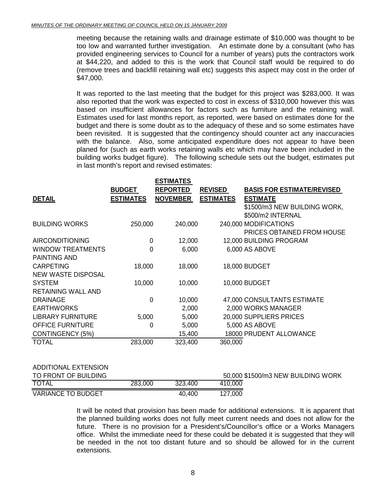meeting because the retaining walls and drainage estimate of \$10,000 was thought to be too low and warranted further investigation. An estimate done by a consultant (who has provided engineering services to Council for a number of years) puts the contractors work at \$44,220, and added to this is the work that Council staff would be required to do (remove trees and backfill retaining wall etc) suggests this aspect may cost in the order of \$47,000.

It was reported to the last meeting that the budget for this project was \$283,000. It was also reported that the work was expected to cost in excess of \$310,000 however this was based on insufficient allowances for factors such as furniture and the retaining wall. Estimates used for last months report, as reported, were based on estimates done for the budget and there is some doubt as to the adequacy of these and so some estimates have been revisited. It is suggested that the contingency should counter act any inaccuracies with the balance. Also, some anticipated expenditure does not appear to have been planed for (such as earth works retaining walls etc which may have been included in the building works budget figure). The following schedule sets out the budget, estimates put in last month's report and revised estimates:

|                  | <b>ESTIMATES</b> |                  |                                                                                               |
|------------------|------------------|------------------|-----------------------------------------------------------------------------------------------|
| <b>BUDGET</b>    | <b>REPORTED</b>  | <b>REVISED</b>   | <b>BASIS FOR ESTIMATE/REVISED</b>                                                             |
| <b>ESTIMATES</b> | <b>NOVEMBER</b>  | <b>ESTIMATES</b> | <b>ESTIMATE</b>                                                                               |
|                  |                  |                  | \$1500/m3 NEW BUILDING WORK,                                                                  |
|                  |                  |                  | \$500/m2 INTERNAL                                                                             |
|                  |                  |                  | 240,000 MODIFICATIONS                                                                         |
|                  |                  |                  | <b>PRICES OBTAINED FROM HOUSE</b>                                                             |
| 0                |                  |                  | 12,000 BUILDING PROGRAM                                                                       |
| $\mathbf 0$      |                  |                  | 6,000 AS ABOVE                                                                                |
|                  |                  |                  |                                                                                               |
| 18,000           |                  |                  | 18,000 BUDGET                                                                                 |
|                  |                  |                  |                                                                                               |
| 10,000           |                  |                  | 10,000 BUDGET                                                                                 |
|                  |                  |                  |                                                                                               |
| $\mathbf 0$      |                  |                  | 47,000 CONSULTANTS ESTIMATE                                                                   |
|                  |                  |                  | 2,000 WORKS MANAGER                                                                           |
|                  |                  |                  | 20,000 SUPPLIERS PRICES                                                                       |
| 0                |                  |                  | 5,000 AS ABOVE                                                                                |
|                  |                  |                  | <b>18000 PRUDENT ALLOWANCE</b>                                                                |
| 283,000          | 323,400          | 360,000          |                                                                                               |
|                  |                  | 250,000<br>5,000 | 240,000<br>12,000<br>6,000<br>18,000<br>10,000<br>10,000<br>2,000<br>5,000<br>5,000<br>15,400 |

#### ADDITIONAL EXTENSION

| TO FRONT OF BUILDING      |         |         | 50,000 \$1500/m3 NEW BUILDING WORK |  |
|---------------------------|---------|---------|------------------------------------|--|
| <b>TOTAL</b>              | 283,000 | 323,400 | 410,000                            |  |
| <b>VARIANCE TO BUDGET</b> |         | 40,400  | 127,000                            |  |

It will be noted that provision has been made for additional extensions. It is apparent that the planned building works does not fully meet current needs and does not allow for the future. There is no provision for a President's/Councillor's office or a Works Managers office. Whilst the immediate need for these could be debated it is suggested that they will be needed in the not too distant future and so should be allowed for in the current extensions.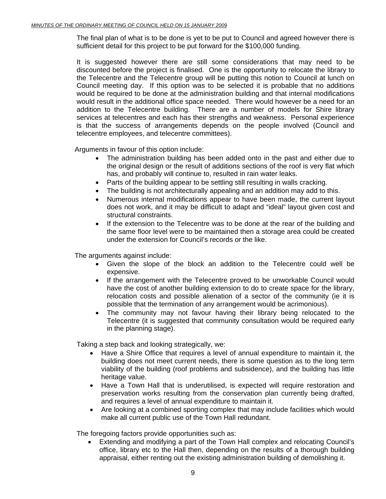The final plan of what is to be done is yet to be put to Council and agreed however there is sufficient detail for this project to be put forward for the \$100,000 funding.

It is suggested however there are still some considerations that may need to be discounted before the project is finalised. One is the opportunity to relocate the library to the Telecentre and the Telecentre group will be putting this notion to Council at lunch on Council meeting day. If this option was to be selected it is probable that no additions would be required to be done at the administration building and that internal modifications would result in the additional office space needed. There would however be a need for an addition to the Telecentre building. There are a number of models for Shire library services at telecentres and each has their strengths and weakness. Personal experience is that the success of arrangements depends on the people involved (Council and telecentre employees, and telecentre committees).

Arguments in favour of this option include:

- The administration building has been added onto in the past and either due to the original design or the result of additions sections of the roof is very flat which has, and probably will continue to, resulted in rain water leaks.
- Parts of the building appear to be settling still resulting in walls cracking.
- The building is not architecturally appealing and an addition may add to this.
- Numerous internal modifications appear to have been made, the current layout does not work, and it may be difficult to adapt and "ideal" layout given cost and structural constraints.
- If the extension to the Telecentre was to be done at the rear of the building and the same floor level were to be maintained then a storage area could be created under the extension for Council's records or the like.

The arguments against include:

- Given the slope of the block an addition to the Telecentre could well be expensive.
- If the arrangement with the Telecentre proved to be unworkable Council would have the cost of another building extension to do to create space for the library, relocation costs and possible alienation of a sector of the community (ie it is possible that the termination of any arrangement would be acrimonious).
- The community may not favour having their library being relocated to the Telecentre (it is suggested that community consultation would be required early in the planning stage).

Taking a step back and looking strategically, we:

- Have a Shire Office that requires a level of annual expenditure to maintain it, the building does not meet current needs, there is some question as to the long term viability of the building (roof problems and subsidence), and the building has little heritage value.
- Have a Town Hall that is underutilised, is expected will require restoration and preservation works resulting from the conservation plan currently being drafted, and requires a level of annual expenditure to maintain it.
- Are looking at a combined sporting complex that may include facilities which would make all current public use of the Town Hall redundant.

The foregoing factors provide opportunities such as:

• Extending and modifying a part of the Town Hall complex and relocating Council's office, library etc to the Hall then, depending on the results of a thorough building appraisal, either renting out the existing administration building of demolishing it.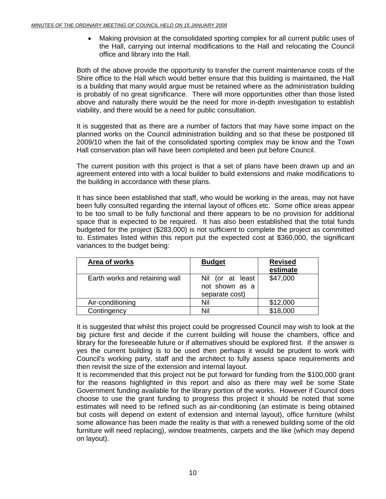• Making provision at the consolidated sporting complex for all current public uses of the Hall, carrying out internal modifications to the Hall and relocating the Council office and library into the Hall.

Both of the above provide the opportunity to transfer the current maintenance costs of the Shire office to the Hall which would better ensure that this building is maintained, the Hall is a building that many would argue must be retained where as the administration building is probably of no great significance. There will more opportunities other than those listed above and naturally there would be the need for more in-depth investigation to establish viability, and there would be a need for public consultation.

It is suggested that as there are a number of factors that may have some impact on the planned works on the Council administration building and so that these be postponed till 2009/10 when the fait of the consolidated sporting complex may be know and the Town Hall conservation plan will have been completed and been put before Council.

The current position with this project is that a set of plans have been drawn up and an agreement entered into with a local builder to build extensions and make modifications to the building in accordance with these plans.

It has since been established that staff, who would be working in the areas, may not have been fully consulted regarding the internal layout of offices etc. Some office areas appear to be too small to be fully functional and there appears to be no provision for additional space that is expected to be required. It has also been established that the total funds budgeted for the project (\$283,000) is not sufficient to complete the project as committed to. Estimates listed within this report put the expected cost at \$360,000, the significant variances to the budget being:

| <b>Area of works</b>           | <b>Budget</b>                                        | <b>Revised</b><br>estimate |
|--------------------------------|------------------------------------------------------|----------------------------|
| Earth works and retaining wall | Nil (or at least<br>not shown as a<br>separate cost) | \$47,000                   |
| Air-conditioning               | Nil                                                  | \$12,000                   |
| Contingency                    | Nil                                                  | \$18,000                   |

It is suggested that whilst this project could be progressed Council may wish to look at the big picture first and decide if the current building will house the chambers, office and library for the foreseeable future or if alternatives should be explored first. If the answer is yes the current building is to be used then perhaps it would be prudent to work with Council's working party, staff and the architect to fully assess space requirements and then revisit the size of the extension and internal layout.

It is recommended that this project not be put forward for funding from the \$100,000 grant for the reasons highlighted in this report and also as there may well be some State Government funding available for the library portion of the works. However if Council does choose to use the grant funding to progress this project it should be noted that some estimates will need to be refined such as air-conditioning (an estimate is being obtained but costs will depend on extent of extension and internal layout), office furniture (whilst some allowance has been made the reality is that with a renewed building some of the old furniture will need replacing), window treatments, carpets and the like (which may depend on layout).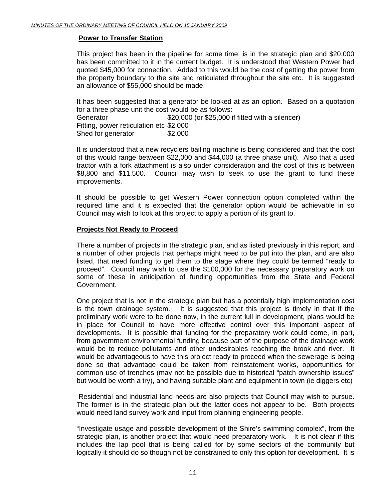#### **Power to Transfer Station**

This project has been in the pipeline for some time, is in the strategic plan and \$20,000 has been committed to it in the current budget. It is understood that Western Power had quoted \$45,000 for connection. Added to this would be the cost of getting the power from the property boundary to the site and reticulated throughout the site etc. It is suggested an allowance of \$55,000 should be made.

It has been suggested that a generator be looked at as an option. Based on a quotation for a three phase unit the cost would be as follows: Generator  $$20,000$  (or \$25,000 if fitted with a silencer) Fitting, power reticulation etc \$2,000 Shed for generator \$2,000

It is understood that a new recyclers bailing machine is being considered and that the cost of this would range between \$22,000 and \$44,000 (a three phase unit). Also that a used tractor with a fork attachment is also under consideration and the cost of this is between \$8,800 and \$11,500. Council may wish to seek to use the grant to fund these improvements.

It should be possible to get Western Power connection option completed within the required time and it is expected that the generator option would be achievable in so Council may wish to look at this project to apply a portion of its grant to.

#### **Projects Not Ready to Proceed**

There a number of projects in the strategic plan, and as listed previously in this report, and a number of other projects that perhaps might need to be put into the plan, and are also listed, that need funding to get them to the stage where they could be termed "ready to proceed". Council may wish to use the \$100,000 for the necessary preparatory work on some of these in anticipation of funding opportunities from the State and Federal Government.

One project that is not in the strategic plan but has a potentially high implementation cost is the town drainage system. It is suggested that this project is timely in that if the preliminary work were to be done now, in the current lull in development, plans would be in place for Council to have more effective control over this important aspect of developments. It is possible that funding for the preparatory work could come, in part, from government environmental funding because part of the purpose of the drainage work would be to reduce pollutants and other undesirables reaching the brook and river. It would be advantageous to have this project ready to proceed when the sewerage is being done so that advantage could be taken from reinstatement works, opportunities for common use of trenches (may not be possible due to historical "patch ownership issues" but would be worth a try), and having suitable plant and equipment in town (ie diggers etc)

 Residential and industrial land needs are also projects that Council may wish to pursue. The former is in the strategic plan but the latter does not appear to be. Both projects would need land survey work and input from planning engineering people.

"Investigate usage and possible development of the Shire's swimming complex", from the strategic plan, is another project that would need preparatory work. It is not clear if this includes the lap pool that is being called for by some sectors of the community but logically it should do so though not be constrained to only this option for development. It is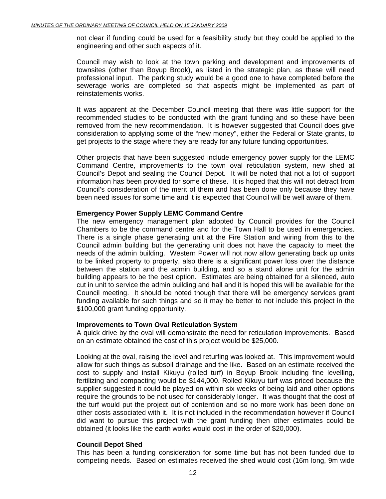not clear if funding could be used for a feasibility study but they could be applied to the engineering and other such aspects of it.

Council may wish to look at the town parking and development and improvements of townsites (other than Boyup Brook), as listed in the strategic plan, as these will need professional input. The parking study would be a good one to have completed before the sewerage works are completed so that aspects might be implemented as part of reinstatements works.

It was apparent at the December Council meeting that there was little support for the recommended studies to be conducted with the grant funding and so these have been removed from the new recommendation. It is however suggested that Council does give consideration to applying some of the "new money", either the Federal or State grants, to get projects to the stage where they are ready for any future funding opportunities.

Other projects that have been suggested include emergency power supply for the LEMC Command Centre, improvements to the town oval reticulation system, new shed at Council's Depot and sealing the Council Depot. It will be noted that not a lot of support information has been provided for some of these. It is hoped that this will not detract from Council's consideration of the merit of them and has been done only because they have been need issues for some time and it is expected that Council will be well aware of them.

#### **Emergency Power Supply LEMC Command Centre**

The new emergency management plan adopted by Council provides for the Council Chambers to be the command centre and for the Town Hall to be used in emergencies. There is a single phase generating unit at the Fire Station and wiring from this to the Council admin building but the generating unit does not have the capacity to meet the needs of the admin building. Western Power will not now allow generating back up units to be linked property to property, also there is a significant power loss over the distance between the station and the admin building, and so a stand alone unit for the admin building appears to be the best option. Estimates are being obtained for a silenced, auto cut in unit to service the admin building and hall and it is hoped this will be available for the Council meeting. It should be noted though that there will be emergency services grant funding available for such things and so it may be better to not include this project in the \$100,000 grant funding opportunity.

#### **Improvements to Town Oval Reticulation System**

A quick drive by the oval will demonstrate the need for reticulation improvements. Based on an estimate obtained the cost of this project would be \$25,000.

Looking at the oval, raising the level and returfing was looked at. This improvement would allow for such things as subsoil drainage and the like. Based on an estimate received the cost to supply and install Kikuyu (rolled turf) in Boyup Brook including fine levelling, fertilizing and compacting would be \$144,000. Rolled Kikuyu turf was priced because the supplier suggested it could be played on within six weeks of being laid and other options require the grounds to be not used for considerably longer. It was thought that the cost of the turf would put the project out of contention and so no more work has been done on other costs associated with it. It is not included in the recommendation however if Council did want to pursue this project with the grant funding then other estimates could be obtained (it looks like the earth works would cost in the order of \$20,000).

#### **Council Depot Shed**

This has been a funding consideration for some time but has not been funded due to competing needs. Based on estimates received the shed would cost (16m long, 9m wide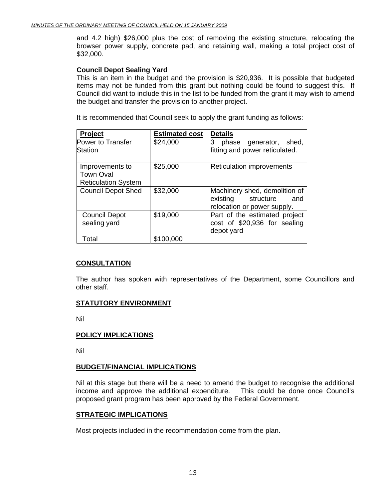and 4.2 high) \$26,000 plus the cost of removing the existing structure, relocating the browser power supply, concrete pad, and retaining wall, making a total project cost of \$32,000.

#### **Council Depot Sealing Yard**

This is an item in the budget and the provision is \$20,936. It is possible that budgeted items may not be funded from this grant but nothing could be found to suggest this. If Council did want to include this in the list to be funded from the grant it may wish to amend the budget and transfer the provision to another project.

It is recommended that Council seek to apply the grant funding as follows:

| <b>Project</b>             | <b>Estimated cost</b> | <b>Details</b>                   |
|----------------------------|-----------------------|----------------------------------|
| Power to Transfer          | \$24,000              | 3<br>phase generator, shed,      |
| Station                    |                       | fitting and power reticulated.   |
| Improvements to            | \$25,000              | <b>Reticulation improvements</b> |
| <b>Town Oval</b>           |                       |                                  |
| <b>Reticulation System</b> |                       |                                  |
| <b>Council Depot Shed</b>  | \$32,000              | Machinery shed, demolition of    |
|                            |                       | existing structure<br>and        |
|                            |                       | relocation or power supply.      |
| <b>Council Depot</b>       | \$19,000              | Part of the estimated project    |
| sealing yard               |                       | cost of \$20,936 for sealing     |
|                            |                       | depot yard                       |
| Total                      | \$100,000             |                                  |

#### **CONSULTATION**

The author has spoken with representatives of the Department, some Councillors and other staff.

#### **STATUTORY ENVIRONMENT**

Nil

#### **POLICY IMPLICATIONS**

Nil

#### **BUDGET/FINANCIAL IMPLICATIONS**

Nil at this stage but there will be a need to amend the budget to recognise the additional income and approve the additional expenditure. This could be done once Council's proposed grant program has been approved by the Federal Government.

#### **STRATEGIC IMPLICATIONS**

Most projects included in the recommendation come from the plan.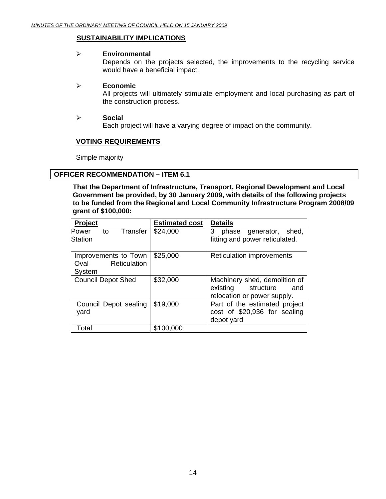#### **SUSTAINABILITY IMPLICATIONS**

#### ¾ **Environmental**

Depends on the projects selected, the improvements to the recycling service would have a beneficial impact.

#### ¾ **Economic**

All projects will ultimately stimulate employment and local purchasing as part of the construction process.

#### ¾ **Social**

Each project will have a varying degree of impact on the community.

#### **VOTING REQUIREMENTS**

Simple majority

#### **OFFICER RECOMMENDATION – ITEM 6.1**

**That the Department of Infrastructure, Transport, Regional Development and Local Government be provided, by 30 January 2009, with details of the following projects to be funded from the Regional and Local Community Infrastructure Program 2008/09 grant of \$100,000:** 

| Project                                                       | <b>Estimated cost</b> | <b>Details</b>                                                                            |
|---------------------------------------------------------------|-----------------------|-------------------------------------------------------------------------------------------|
| Transfer<br>to<br>Power<br><b>Station</b>                     | \$24,000              | 3<br>generator, shed,<br>phase<br>fitting and power reticulated.                          |
| Improvements to Town<br><b>Reticulation</b><br>Oval<br>System | \$25,000              | <b>Reticulation improvements</b>                                                          |
| <b>Council Depot Shed</b>                                     | \$32,000              | Machinery shed, demolition of<br>existing structure<br>and<br>relocation or power supply. |
| Council Depot sealing<br>yard                                 | \$19,000              | Part of the estimated project<br>cost of \$20,936 for sealing<br>depot yard               |
| Total                                                         | \$100,000             |                                                                                           |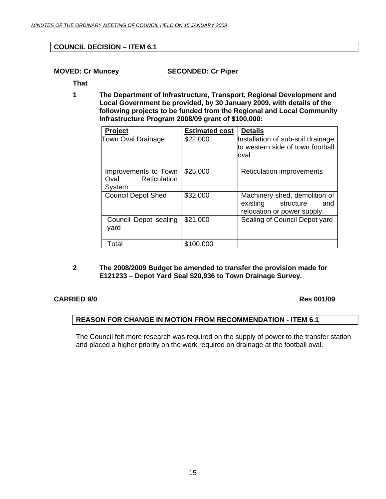#### **COUNCIL DECISION – ITEM 6.1**

**MOVED: Cr Muncey SECONDED: Cr Piper** 

**That** 

**1 The Department of Infrastructure, Transport, Regional Development and Local Government be provided, by 30 January 2009, with details of the following projects to be funded from the Regional and Local Community Infrastructure Program 2008/09 grant of \$100,000:** 

| <b>Project</b>                                         | <b>Estimated cost</b> | <b>Details</b>                                                                               |
|--------------------------------------------------------|-----------------------|----------------------------------------------------------------------------------------------|
| Town Oval Drainage                                     | \$22,000              | Installation of sub-soil drainage<br>to western side of town football<br>oval                |
| Improvements to Town<br>Reticulation<br>Oval<br>System | \$25,000              | <b>Reticulation improvements</b>                                                             |
| <b>Council Depot Shed</b>                              | \$32,000              | Machinery shed, demolition of<br>existing<br>structure<br>and<br>relocation or power supply. |
| Council Depot sealing<br>yard                          | \$21,000              | Sealing of Council Depot yard                                                                |
| Total                                                  | \$100,000             |                                                                                              |

**2 The 2008/2009 Budget be amended to transfer the provision made for E121233 – Depot Yard Seal \$20,936 to Town Drainage Survey.** 

#### **CARRIED 9/0 Res 001/09**

#### **REASON FOR CHANGE IN MOTION FROM RECOMMENDATION - ITEM 6.1**

The Council felt more research was required on the supply of power to the transfer station and placed a higher priority on the work required on drainage at the football oval.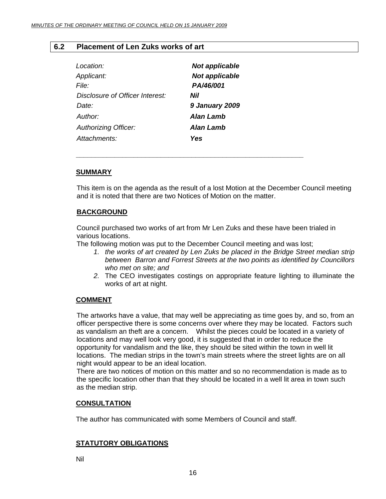#### **6.2 Placement of Len Zuks works of art**

| Location:                       | <b>Not applicable</b> |
|---------------------------------|-----------------------|
| Applicant:                      | <b>Not applicable</b> |
| <i>File:</i>                    | PA/46/001             |
| Disclosure of Officer Interest: | Nil                   |
| Date:                           | <b>9 January 2009</b> |
| Author:                         | Alan Lamb             |
| <b>Authorizing Officer:</b>     | <b>Alan Lamb</b>      |
| Attachments:                    | Yes                   |

#### **SUMMARY**

This item is on the agenda as the result of a lost Motion at the December Council meeting and it is noted that there are two Notices of Motion on the matter.

#### **BACKGROUND**

Council purchased two works of art from Mr Len Zuks and these have been trialed in various locations.

The following motion was put to the December Council meeting and was lost;

**\_\_\_\_\_\_\_\_\_\_\_\_\_\_\_\_\_\_\_\_\_\_\_\_\_\_\_\_\_\_\_\_\_\_\_\_\_\_\_\_\_\_\_\_\_\_\_\_\_\_\_\_\_\_\_\_\_\_\_** 

- *1. the works of art created by Len Zuks be placed in the Bridge Street median strip between Barron and Forrest Streets at the two points as identified by Councillors who met on site; and*
- *2.* The CEO investigates costings on appropriate feature lighting to illuminate the works of art at night.

#### **COMMENT**

The artworks have a value, that may well be appreciating as time goes by, and so, from an officer perspective there is some concerns over where they may be located. Factors such as vandalism an theft are a concern. Whilst the pieces could be located in a variety of locations and may well look very good, it is suggested that in order to reduce the opportunity for vandalism and the like, they should be sited within the town in well lit locations. The median strips in the town's main streets where the street lights are on all night would appear to be an ideal location.

There are two notices of motion on this matter and so no recommendation is made as to the specific location other than that they should be located in a well lit area in town such as the median strip.

#### **CONSULTATION**

The author has communicated with some Members of Council and staff.

#### **STATUTORY OBLIGATIONS**

Nil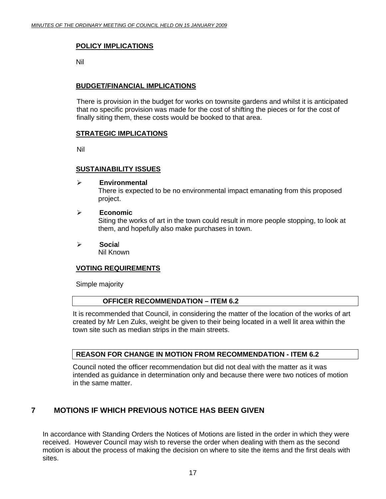#### **POLICY IMPLICATIONS**

Nil

#### **BUDGET/FINANCIAL IMPLICATIONS**

There is provision in the budget for works on townsite gardens and whilst it is anticipated that no specific provision was made for the cost of shifting the pieces or for the cost of finally siting them, these costs would be booked to that area.

#### **STRATEGIC IMPLICATIONS**

Nil

#### **SUSTAINABILITY ISSUES**

#### ¾ **Environmental**

There is expected to be no environmental impact emanating from this proposed project.

#### ¾ **Economic**

Siting the works of art in the town could result in more people stopping, to look at them, and hopefully also make purchases in town.

¾ **Socia**l

Nil Known

#### **VOTING REQUIREMENTS**

Simple majority

#### **OFFICER RECOMMENDATION – ITEM 6.2**

It is recommended that Council, in considering the matter of the location of the works of art created by Mr Len Zuks, weight be given to their being located in a well lit area within the town site such as median strips in the main streets.

#### **REASON FOR CHANGE IN MOTION FROM RECOMMENDATION - ITEM 6.2**

Council noted the officer recommendation but did not deal with the matter as it was intended as guidance in determination only and because there were two notices of motion in the same matter.

## **7 MOTIONS IF WHICH PREVIOUS NOTICE HAS BEEN GIVEN**

In accordance with Standing Orders the Notices of Motions are listed in the order in which they were received. However Council may wish to reverse the order when dealing with them as the second motion is about the process of making the decision on where to site the items and the first deals with sites.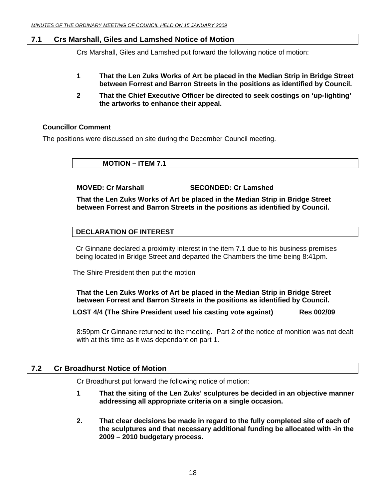#### **7.1 Crs Marshall, Giles and Lamshed Notice of Motion**

Crs Marshall, Giles and Lamshed put forward the following notice of motion:

- **1 That the Len Zuks Works of Art be placed in the Median Strip in Bridge Street between Forrest and Barron Streets in the positions as identified by Council.**
- **2 That the Chief Executive Officer be directed to seek costings on 'up-lighting' the artworks to enhance their appeal.**

#### **Councillor Comment**

The positions were discussed on site during the December Council meeting.

 **MOTION – ITEM 7.1** 

 **MOVED: Cr Marshall SECONDED: Cr Lamshed** 

**That the Len Zuks Works of Art be placed in the Median Strip in Bridge Street between Forrest and Barron Streets in the positions as identified by Council.** 

#### **DECLARATION OF INTEREST**

Cr Ginnane declared a proximity interest in the item 7.1 due to his business premises being located in Bridge Street and departed the Chambers the time being 8:41pm.

The Shire President then put the motion

**That the Len Zuks Works of Art be placed in the Median Strip in Bridge Street between Forrest and Barron Streets in the positions as identified by Council.** 

**LOST 4/4 (The Shire President used his casting vote against) Res 002/09** 

 8:59pm Cr Ginnane returned to the meeting. Part 2 of the notice of monition was not dealt with at this time as it was dependant on part 1.

#### **7.2 Cr Broadhurst Notice of Motion**

Cr Broadhurst put forward the following notice of motion:

- **1 That the siting of the Len Zuks' sculptures be decided in an objective manner addressing all appropriate criteria on a single occasion.**
- **2. That clear decisions be made in regard to the fully completed site of each of the sculptures and that necessary additional funding be allocated with -in the 2009 – 2010 budgetary process.**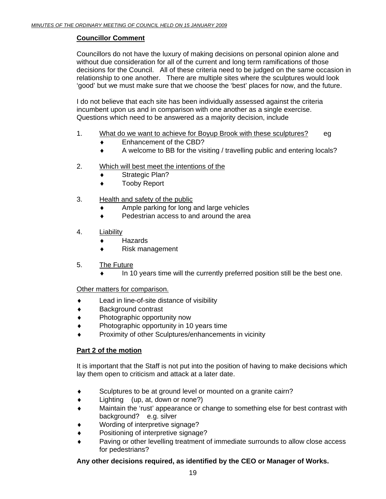#### **Councillor Comment**

Councillors do not have the luxury of making decisions on personal opinion alone and without due consideration for all of the current and long term ramifications of those decisions for the Council. All of these criteria need to be judged on the same occasion in relationship to one another. There are multiple sites where the sculptures would look 'good' but we must make sure that we choose the 'best' places for now, and the future.

I do not believe that each site has been individually assessed against the criteria incumbent upon us and in comparison with one another as a single exercise. Questions which need to be answered as a majority decision, include

- 1. What do we want to achieve for Boyup Brook with these sculptures? eg
	- ♦ Enhancement of the CBD?
	- ♦ A welcome to BB for the visiting / travelling public and entering locals?
- 2. Which will best meet the intentions of the
	- ♦ Strategic Plan?
	- ♦ Tooby Report
- 3. Health and safety of the public
	- ♦ Ample parking for long and large vehicles
	- ♦ Pedestrian access to and around the area
- 4. Liability
	- ♦ Hazards
	- ♦ Risk management
- 5. The Future
	- In 10 years time will the currently preferred position still be the best one.

Other matters for comparison.

- Lead in line-of-site distance of visibility
- ♦ Background contrast
- Photographic opportunity now
- Photographic opportunity in 10 years time
- Proximity of other Sculptures/enhancements in vicinity

#### **Part 2 of the motion**

It is important that the Staff is not put into the position of having to make decisions which lay them open to criticism and attack at a later date.

- ♦ Sculptures to be at ground level or mounted on a granite cairn?
- $\bullet$  Lighting (up, at, down or none?)
- Maintain the 'rust' appearance or change to something else for best contrast with background? e.g. silver
- Wording of interpretive signage?
- ♦ Positioning of interpretive signage?
- ♦ Paving or other levelling treatment of immediate surrounds to allow close access for pedestrians?

#### **Any other decisions required, as identified by the CEO or Manager of Works.**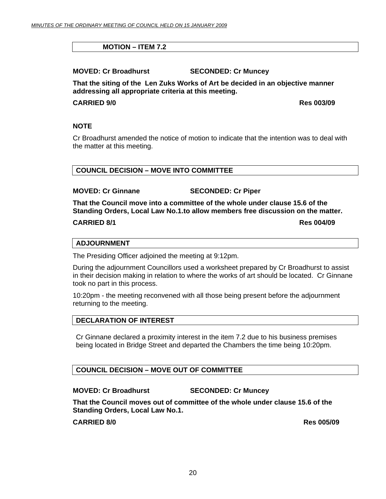#### **MOTION – ITEM 7.2**

**MOVED: Cr Broadhurst SECONDED: Cr Muncey** 

**That the siting of the Len Zuks Works of Art be decided in an objective manner addressing all appropriate criteria at this meeting.** 

#### **CARRIED 9/0 Res 003/09**

#### **NOTE**

Cr Broadhurst amended the notice of motion to indicate that the intention was to deal with the matter at this meeting.

#### **COUNCIL DECISION – MOVE INTO COMMITTEE**

#### **MOVED: Cr Ginnane SECONDED: Cr Piper**

**That the Council move into a committee of the whole under clause 15.6 of the Standing Orders, Local Law No.1.to allow members free discussion on the matter.** 

#### **CARRIED 8/1 Res 004/09**

#### **ADJOURNMENT**

The Presiding Officer adjoined the meeting at 9:12pm.

During the adjournment Councillors used a worksheet prepared by Cr Broadhurst to assist in their decision making in relation to where the works of art should be located. Cr Ginnane took no part in this process.

10:20pm - the meeting reconvened with all those being present before the adjournment returning to the meeting.

#### **DECLARATION OF INTEREST**

Cr Ginnane declared a proximity interest in the item 7.2 due to his business premises being located in Bridge Street and departed the Chambers the time being 10:20pm.

#### **COUNCIL DECISION – MOVE OUT OF COMMITTEE**

#### **MOVED: Cr Broadhurst SECONDED: Cr Muncey**

**That the Council moves out of committee of the whole under clause 15.6 of the Standing Orders, Local Law No.1.** 

#### **CARRIED 8/0 Res 005/09**